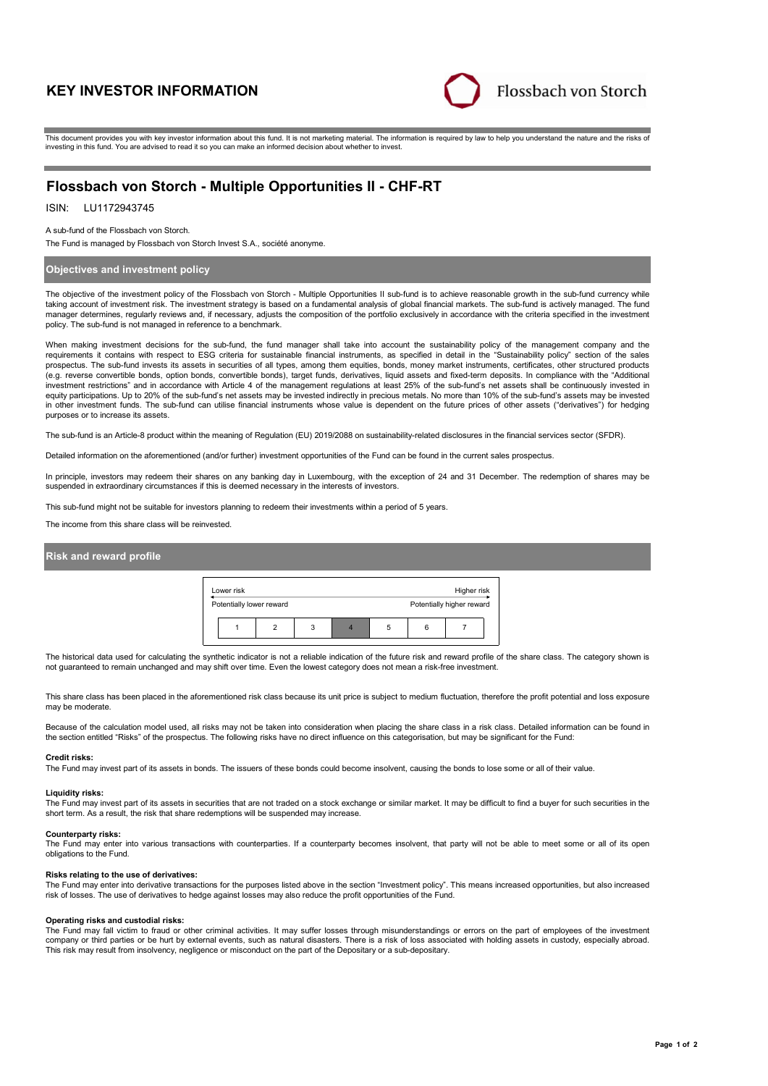# **KEY INVESTOR INFORMATION**



This document provides you with key investor information about this fund. It is not marketing material. The information is required by law to help you understand the nature and the risks of investing in this fund. You are advised to read it so you can make an informed decision about whether to invest.

# **Flossbach von Storch - Multiple Opportunities II - CHF-RT**

# ISIN: LU1172943745

### A sub-fund of the Flossbach von Storch.

The Fund is managed by Flossbach von Storch Invest S.A., société anonyme.

## **Objectives and investment policy**

The objective of the investment policy of the Flossbach von Storch - Multiple Opportunities II sub-fund is to achieve reasonable growth in the sub-fund currency while taking account of investment risk. The investment strategy is based on a fundamental analysis of global financial markets. The sub-fund is actively managed. The fund manager determines, regularly reviews and, if necessary, adjusts the composition of the portfolio exclusively in accordance with the criteria specified in the investment policy. The sub-fund is not managed in reference to a benchmark.

When making investment decisions for the sub-fund, the fund manager shall take into account the sustainability policy of the management company and the requirements it contains with respect to ESG criteria for sustainable financial instruments, as specified in detail in the "Sustainability policy" section of the sales prospectus. The sub-fund invests its assets in securities of all types, among them equities, bonds, money market instruments, certificates, other structured products (e.g. reverse convertible bonds, option bonds, convertible bonds), target funds, derivatives, liquid assets and fixed-term deposits. In compliance with the "Additional investment restrictions" and in accordance with Article 4 of the management regulations at least 25% of the sub-fund's net assets shall be continuously invested in equity participations. Up to 20% of the sub-fund's net assets may be invested indirectly in precious metals. No more than 10% of the sub-fund's assets may be invested in other investment funds. The sub-fund can utilise financial instruments whose value is dependent on the future prices of other assets ("derivatives") for hedging purposes or to increase its assets.

The sub-fund is an Article-8 product within the meaning of Regulation (EU) 2019/2088 on sustainability-related disclosures in the financial services sector (SFDR).

Detailed information on the aforementioned (and/or further) investment opportunities of the Fund can be found in the current sales prospectus.

In principle, investors may redeem their shares on any banking day in Luxembourg, with the exception of 24 and 31 December. The redemption of shares may be suspended in extraordinary circumstances if this is deemed necessary in the interests of investors.

This sub-fund might not be suitable for investors planning to redeem their investments within a period of 5 years.

The income from this share class will be reinvested.

# **Risk and reward profile**



The historical data used for calculating the synthetic indicator is not a reliable indication of the future risk and reward profile of the share class. The category shown is not guaranteed to remain unchanged and may shift over time. Even the lowest category does not mean a risk-free investment.

This share class has been placed in the aforementioned risk class because its unit price is subject to medium fluctuation, therefore the profit potential and loss exposure may be moderate

Because of the calculation model used, all risks may not be taken into consideration when placing the share class in a risk class. Detailed information can be found in the section entitled "Risks" of the prospectus. The following risks have no direct influence on this categorisation, but may be significant for the Fund:

#### **Credit risks:**

The Fund may invest part of its assets in bonds. The issuers of these bonds could become insolvent, causing the bonds to lose some or all of their value.

#### **Liquidity risks:**

The Fund may invest part of its assets in securities that are not traded on a stock exchange or similar market. It may be difficult to find a buyer for such securities in the short term. As a result, the risk that share redemptions will be suspended may increase.

#### **Counterparty risks:**

The Fund may enter into various transactions with counterparties. If a counterparty becomes insolvent, that party will not be able to meet some or all of its open obligations to the Fund.

### **Risks relating to the use of derivatives:**

The Fund may enter into derivative transactions for the purposes listed above in the section "Investment policy". This means increased opportunities, but also increased risk of losses. The use of derivatives to hedge against losses may also reduce the profit opportunities of the Fund.

#### **Operating risks and custodial risks:**

The Fund may fall victim to fraud or other criminal activities. It may suffer losses through misunderstandings or errors on the part of employees of the investment company or third parties or be hurt by external events, such as natural disasters. There is a risk of loss associated with holding assets in custody, especially abroad. This risk may result from insolvency, negligence or misconduct on the part of the Depositary or a sub-depositary.